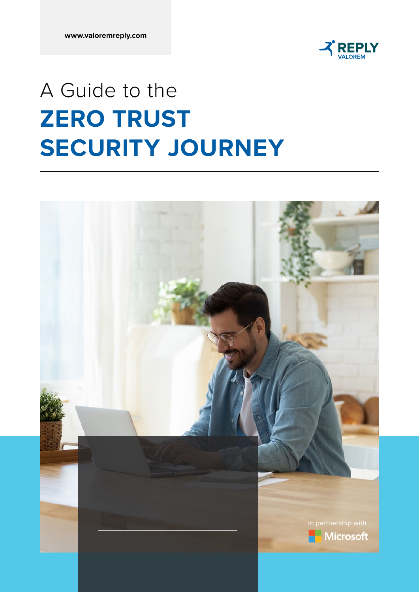

## A Guide to the **ZERO TRUST SECURITY JOURNEY**

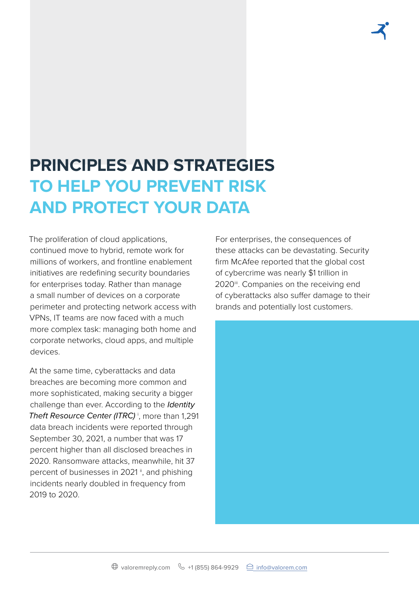### **PRINCIPLES AND STRATEGIES TO HELP YOU PREVENT RISK AND PROTECT YOUR DATA**

The proliferation of cloud applications, continued move to hybrid, remote work for millions of workers, and frontline enablement initiatives are redefining security boundaries for enterprises today. Rather than manage a small number of devices on a corporate perimeter and protecting network access with VPNs, IT teams are now faced with a much more complex task: managing both home and corporate networks, cloud apps, and multiple devices.

At the same time, cyberattacks and data breaches are becoming more common and more sophisticated, making security a bigger challenge than ever. According to the *Identity Theft Resource Center (ITRC)* <sup>i</sup> , more than 1,291 data breach incidents were reported through September 30, 2021, a number that was 17 percent higher than all disclosed breaches in 2020. Ransomware attacks, meanwhile, hit 37 percent of businesses in 2021", and phishing incidents nearly doubled in frequency from 2019 to 2020.

For enterprises, the consequences of these attacks can be devastating. Security firm McAfee reported that the global cost of cybercrime was nearly \$1 trillion in 2020<sup>iii</sup>. Companies on the receiving end of cyberattacks also suffer damage to their brands and potentially lost customers.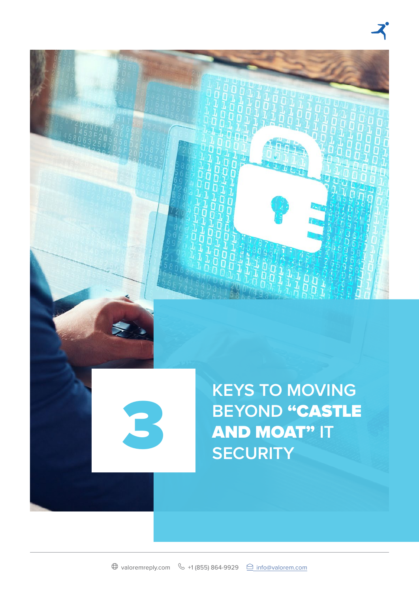

 $\bigoplus$  valoremreply.com  $\bigotimes$  +1 (855) 864-9929  $\bigoplus$  info@valorem.com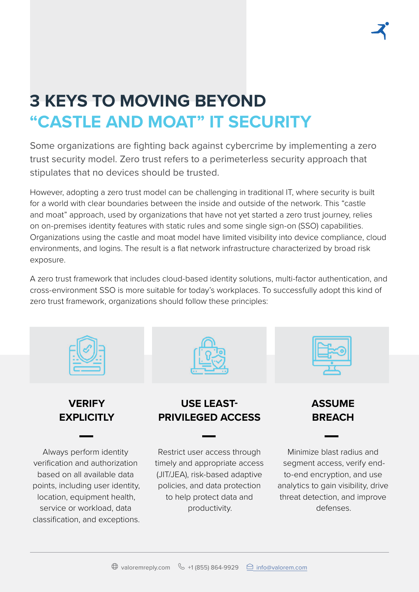### **3 KEYS TO MOVING BEYOND "CASTLE AND MOAT" IT SECURITY**

Some organizations are fighting back against cybercrime by implementing a zero trust security model. Zero trust refers to a perimeterless security approach that stipulates that no devices should be trusted.

However, adopting a zero trust model can be challenging in traditional IT, where security is built for a world with clear boundaries between the inside and outside of the network. This "castle and moat" approach, used by organizations that have not yet started a zero trust journey, relies on on-premises identity features with static rules and some single sign-on (SSO) capabilities. Organizations using the castle and moat model have limited visibility into device compliance, cloud environments, and logins. The result is a flat network infrastructure characterized by broad risk exposure.

A zero trust framework that includes cloud-based identity solutions, multi-factor authentication, and cross-environment SSO is more suitable for today's workplaces. To successfully adopt this kind of zero trust framework, organizations should follow these principles:







**VERIFY EXPLICITLY**

Always perform identity verification and authorization based on all available data points, including user identity, location, equipment health, service or workload, data classification, and exceptions.

### **USE LEAST-PRIVILEGED ACCESS**

Restrict user access through timely and appropriate access (JIT/JEA), risk-based adaptive policies, and data protection to help protect data and productivity.

**ASSUME BREACH**

Minimize blast radius and segment access, verify endto-end encryption, and use analytics to gain visibility, drive threat detection, and improve defenses.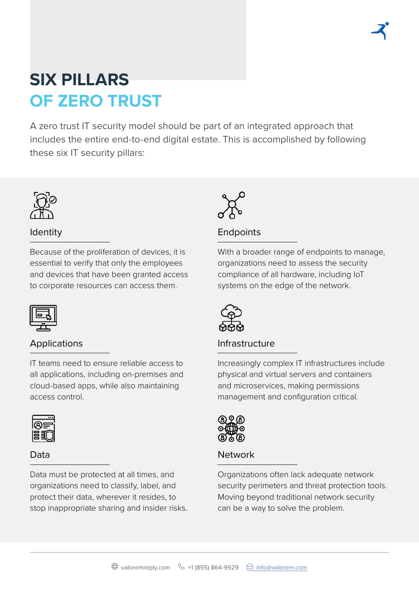### **SIX PILLARS OF ZERO TRUST**

A zero trust IT security model should be part of an integrated approach that includes the entire end-to-end digital estate. This is accomplished by following these six IT security pillars:



#### Identity

Because of the proliferation of devices, it is essential to verify that only the employees and devices that have been granted access to corporate resources can access them.



#### Applications

IT teams need to ensure reliable access to all applications, including on-premises and cloud-based apps, while also maintaining access control.



#### Data

Data must be protected at all times, and organizations need to classify, label, and protect their data, wherever it resides, to stop inappropriate sharing and insider risks.



### **Endpoints**

With a broader range of endpoints to manage, organizations need to assess the security compliance of all hardware, including IoT systems on the edge of the network.



### Infrastructure

Increasingly complex IT infrastructures include physical and virtual servers and containers and microservices, making permissions management and configuration critical.



#### **Network**

Organizations often lack adequate network security perimeters and threat protection tools. Moving beyond traditional network security can be a way to solve the problem.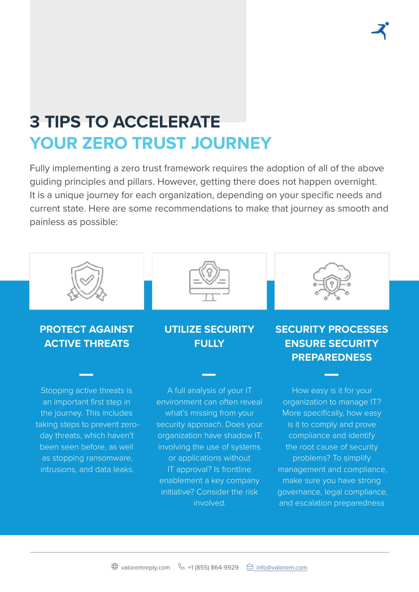### **3 TIPS TO ACCELERATE YOUR ZERO TRUST JOURNEY**

Fully implementing a zero trust framework requires the adoption of all of the above guiding principles and pillars. However, getting there does not happen overnight. It is a unique journey for each organization, depending on your specific needs and current state. Here are some recommendations to make that journey as smooth and painless as possible:



Stopping active threats is an important first step in the journey. This includes taking steps to prevent zeroday threats, which haven't been seen before, as well as stopping ransomware, intrusions, and data leaks.

### **FULLY**

A full analysis of your IT environment can often reveal what's missing from your security approach. Does your organization have shadow IT, involving the use of systems or applications without IT approval? Is frontline enablement a key company initiative? Consider the risk involved.

**PREPAREDNESS** How easy is it for your organization to manage IT? More specifically, how easy is it to comply and prove compliance and identify

the root cause of security problems? To simplify management and compliance, make sure you have strong governance, legal compliance, and escalation preparedness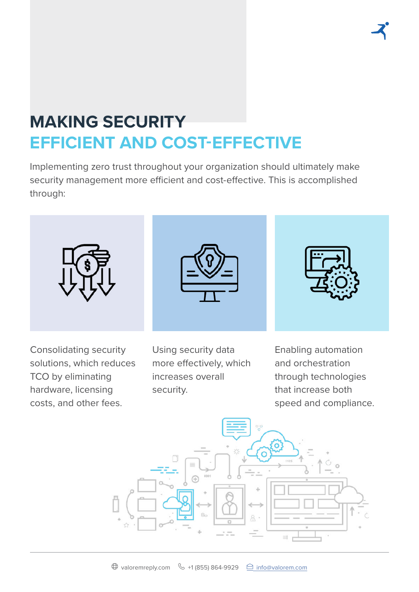### **MAKING SECURITY EFFICIENT AND COST-EFFECTIVE**

Implementing zero trust throughout your organization should ultimately make security management more efficient and cost-effective. This is accomplished through:



Consolidating security solutions, which reduces TCO by eliminating hardware, licensing costs, and other fees.

Using security data more effectively, which increases overall security.

Enabling automation and orchestration through technologies that increase both speed and compliance.

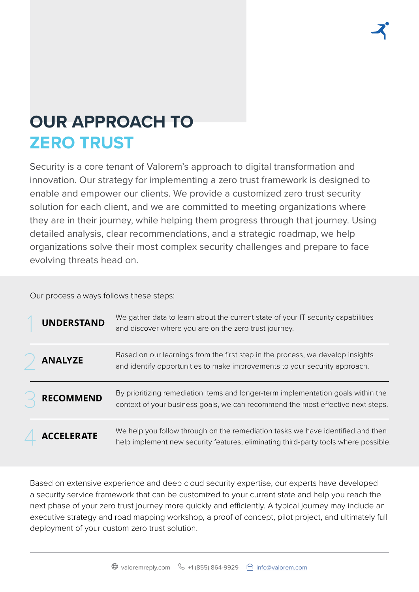### **OUR APPROACH TO ZERO TRUST**

Security is a core tenant of Valorem's approach to digital transformation and innovation. Our strategy for implementing a zero trust framework is designed to enable and empower our clients. We provide a customized zero trust security solution for each client, and we are committed to meeting organizations where they are in their journey, while helping them progress through that journey. Using detailed analysis, clear recommendations, and a strategic roadmap, we help organizations solve their most complex security challenges and prepare to face evolving threats head on.

Our process always follows these steps:

| <b>UNDERSTAND</b> | We gather data to learn about the current state of your IT security capabilities<br>and discover where you are on the zero trust journey.                              |
|-------------------|------------------------------------------------------------------------------------------------------------------------------------------------------------------------|
| <b>ANALYZE</b>    | Based on our learnings from the first step in the process, we develop insights<br>and identify opportunities to make improvements to your security approach.           |
| <b>RECOMMEND</b>  | By prioritizing remediation items and longer-term implementation goals within the<br>context of your business goals, we can recommend the most effective next steps.   |
| <b>ACCELERATE</b> | We help you follow through on the remediation tasks we have identified and then<br>help implement new security features, eliminating third-party tools where possible. |

Based on extensive experience and deep cloud security expertise, our experts have developed a security service framework that can be customized to your current state and help you reach the next phase of your zero trust journey more quickly and efficiently. A typical journey may include an executive strategy and road mapping workshop, a proof of concept, pilot project, and ultimately full deployment of your custom zero trust solution.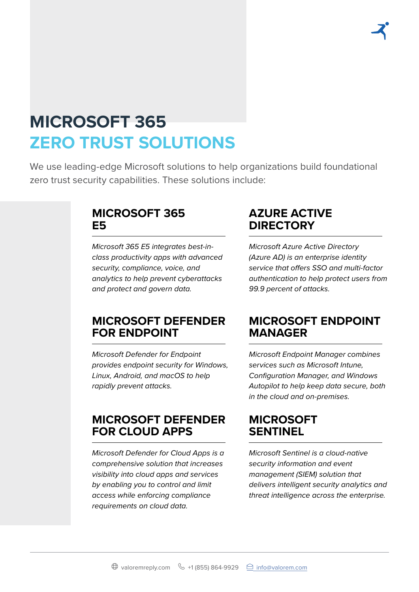### **MICROSOFT 365 ZERO TRUST SOLUTIONS**

We use leading-edge Microsoft solutions to help organizations build foundational zero trust security capabilities. These solutions include:

### **MICROSOFT 365 E5**

*Microsoft 365 E5 integrates best-inclass productivity apps with advanced security, compliance, voice, and analytics to help prevent cyberattacks and protect and govern data.*

### **AZURE ACTIVE DIRECTORY**

*Microsoft Azure Active Directory (Azure AD) is an enterprise identity service that offers SSO and multi-factor authentication to help protect users from 99.9 percent of attacks.*

### **MICROSOFT DEFENDER FOR ENDPOINT**

*Microsoft Defender for Endpoint provides endpoint security for Windows, Linux, Android, and macOS to help rapidly prevent attacks.*

### **MICROSOFT DEFENDER FOR CLOUD APPS**

*Microsoft Defender for Cloud Apps is a comprehensive solution that increases visibility into cloud apps and services by enabling you to control and limit access while enforcing compliance requirements on cloud data.*

### **MICROSOFT ENDPOINT MANAGER**

*Microsoft Endpoint Manager combines services such as Microsoft Intune, Configuration Manager, and Windows Autopilot to help keep data secure, both in the cloud and on-premises.*

### **MICROSOFT SENTINEL**

*Microsoft Sentinel is a cloud-native security information and event management (SIEM) solution that delivers intelligent security analytics and threat intelligence across the enterprise.*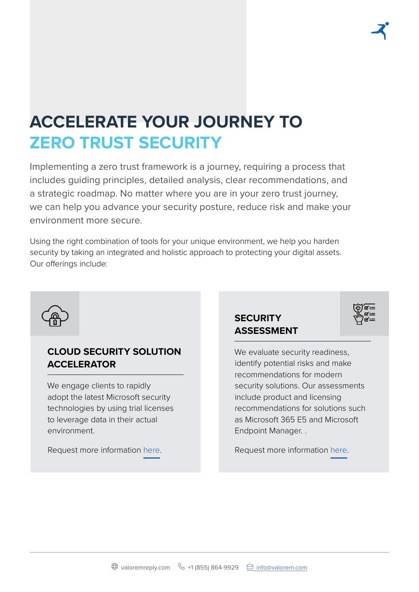# **ACCELERATE YOUR JOURNEY TO**

### **ZERO TRUST SECURITY**

Implementing a zero trust framework is a journey, requiring a process that includes guiding principles, detailed analysis, clear recommendations, and a strategic roadmap. No matter where you are in your zero trust journey, we can help you advance your security posture, reduce risk and make your environment more secure.

Using the right combination of tools for your unique environment, we help you harden security by taking an integrated and holistic approach to protecting your digital assets. Our offerings include:



#### **CLOUD SECURITY SOLUTION ACCELERATOR**

We engage clients to rapidly adopt the latest Microsoft security technologies by using trial licenses to leverage data in their actual environment.

Request more information [here](https://go.valorem.com/CloudSecurityAccelerator.html?utm_source=zero-trust-ebook).

### **SECURITY ASSESSMENT**



Request more information [here](https://go.valorem.com/Solution-Assessment-Security.html?utm_source=zero-trust-ebook).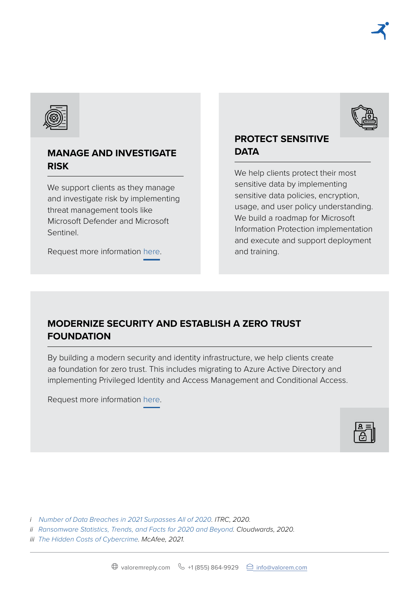

#### **MANAGE AND INVESTIGATE RISK**

We support clients as they manage and investigate risk by implementing threat management tools like Microsoft Defender and Microsoft Sentinel.

Request more information [here](https://go.valorem.com/Modern-Protection-Pilot.html?utm_source=zero-trust-ebook).

#### **PROTECT SENSITIVE DATA**

We help clients protect their most sensitive data by implementing sensitive data policies, encryption, usage, and user policy understanding. We build a roadmap for Microsoft Information Protection implementation and execute and support deployment and training.

#### **MODERNIZE SECURITY AND ESTABLISH A ZERO TRUST FOUNDATION**

By building a modern security and identity infrastructure, we help clients create aa foundation for zero trust. This includes migrating to Azure Active Directory and implementing Privileged Identity and Access Management and Conditional Access.

Request more information [here](https://go.valorem.com/zero-trust-program-for-security.html?utm_source=zero-trust-ebook).



*i [Number of Data Breaches in 2021 Surpasses All of 2020](https://www.idtheftcenter.org/post/identity-theft-resource-center-to-share-latest-data-breach-analysis-with-u-s-senate-commerce-committee-number-of-data-breaches-in-2021-surpasses-all-of-2020/). ITRC, 2020.* 

*ii [Ransomware Statistics, Trends, and Facts for 2020 and Beyond](https://www.cloudwards.net/ransomware-statistics/). Cloudwards, 2020.* 

*iii [The Hidden Costs of Cybercrime](https://www.mcafee.com/enterprise/en-us/assets/reports/rp-hidden-costs-of-cybercrime.pdf). McAfee, 2021.*